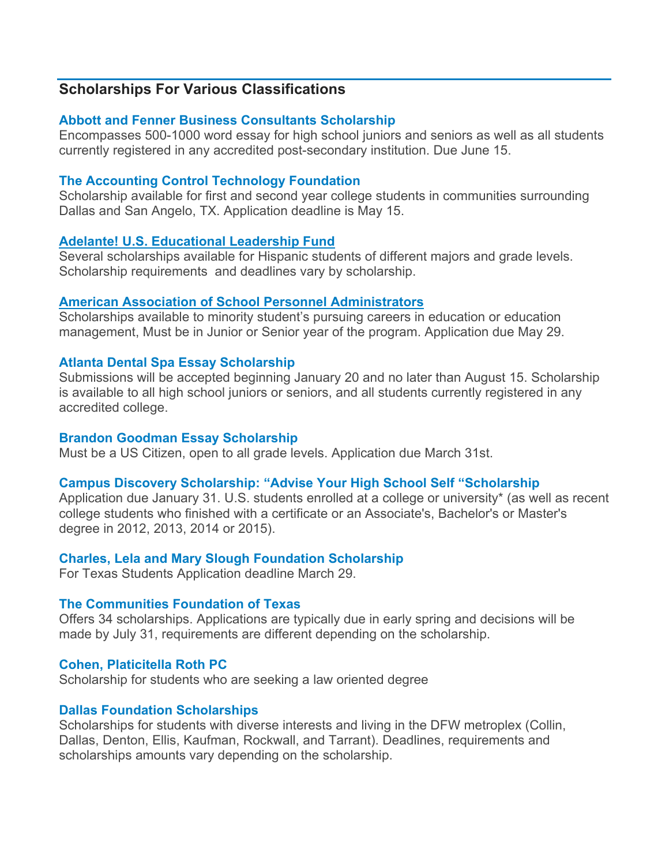# **Scholarships For Various Classifications**

# **[Abbott and Fenner Business Consultants Scholarship](http://www.abbottandfenner.com/scholarships.htm)**

Encompasses 500-1000 word essay for high school juniors and seniors as well as all students currently registered in any accredited post-secondary institution. Due June 15.

# **[The Accounting Control Technology Foundation](http://www.accountcontrolfoundation.org/)**

Scholarship available for first and second year college students in communities surrounding Dallas and San Angelo, TX. Application deadline is May 15.

# **[Adelante! U.S. Educational Leadership Fund](http://www.adelantefund.org/#!scholarships/crij)**

Several scholarships available for Hispanic students of different majors and grade levels. Scholarship requirements and deadlines vary by scholarship.

# **[American Association of School](http://aaspa.org/?s=scholarships) Personnel Administrators**

Scholarships available to minority student's pursuing careers in education or education management, Must be in Junior or Senior year of the program. Application due May 29.

# **[Atlanta Dental Spa Essay Scholarship](http://atlantadentalspa.com/scholarship.html)**

Submissions will be accepted beginning January 20 and no later than August 15. Scholarship is available to all high school juniors or seniors, and all students currently registered in any accredited college.

# **[Brandon Goodman Essay Scholarship](http://www.bgscholarship.com/scholarship.html)**

Must be a US Citizen, open to all grade levels. Application due March 31st.

# **[Campus Discovery Scholarship: "Advise Your High School Self "Scholarship](http://www.campusdiscovery.com/college-scholarships#scholarship-reminder)**

Application due January 31. U.S. students enrolled at a college or university\* (as well as recent college students who finished with a certificate or an Associate's, Bachelor's or Master's degree in 2012, 2013, 2014 or 2015).

# **[Charles, Lela and Mary Slough Foundation Scholarship](http://www.midland.edu/students/enrollment/charles_lela_and_mary_slough_foundation_scholarship.php)**

For Texas Students Application deadline March 29.

# **[The Communities Foundation of Texas](http://www.cftexas.org/scholarship)**

Offers 34 scholarships. Applications are typically due in early spring and decisions will be made by July 31, requirements are different depending on the scholarship.

# **[Cohen, Platicitella Roth PC](http://cprlaw.com/scholarship/)**

Scholarship for students who are seeking a law oriented degree

# **[Dallas Foundation Scholarships](http://www.dallasfoundation.org/ForStudents/DallasFoundationScholarships/tabid/215/Default.aspx)**

Scholarships for students with diverse interests and living in the DFW metroplex (Collin, Dallas, Denton, Ellis, Kaufman, Rockwall, and Tarrant). Deadlines, requirements and scholarships amounts vary depending on the scholarship.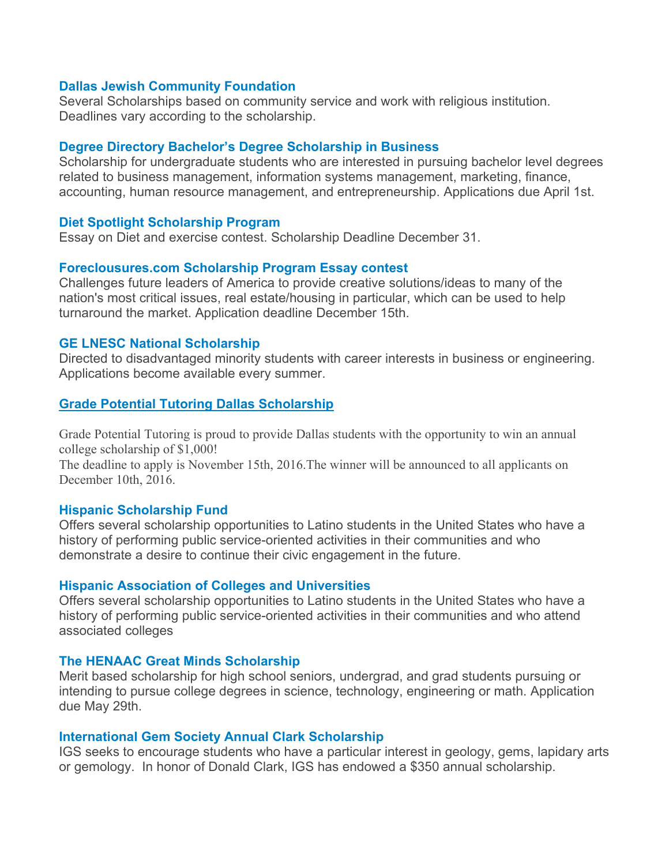#### **[Dallas Jewish Community Foundation](http://www.djcf.org/home)**

Several Scholarships based on community service and work with religious institution. Deadlines vary according to the scholarship.

#### **[Degree Directory Bachelor's Degree Scholarship in Business](http://degreedirectory.org/pages/business_scholarship.html)**

Scholarship for undergraduate students who are interested in pursuing bachelor level degrees related to business management, information systems management, marketing, finance, accounting, human resource management, and entrepreneurship. Applications due April 1st.

#### **[Diet Spotlight Scholarship Program](http://www.dietspotlight.com/scholarship/)**

Essay on Diet and exercise contest. Scholarship Deadline December 31.

#### **[Foreclousures.com Scholarship Program Essay contest](http://www.foreclosure.com/scholarship/)**

Challenges future leaders of America to provide creative solutions/ideas to many of the nation's most critical issues, real estate/housing in particular, which can be used to help turnaround the market. Application deadline December 15th.

#### **[GE LNESC National Scholarship](http://www.lnesc.org/site/353/Scholarships/GE-LNESC-Scholarship)**

Directed to disadvantaged minority students with career interests in business or engineering. Applications become available every summer.

#### **[Grade Potential Tutoring Dallas Scholarship](http://gradepotentialtutoring.com/dallas-tx-tutors#scholarship)**

Grade Potential Tutoring is proud to provide Dallas students with the opportunity to win an annual college scholarship of \$1,000!

The deadline to apply is November 15th, 2016.The winner will be announced to all applicants on December 10th, 2016.

#### **[Hispanic Scholarship Fund](http://hsf.net/)**

Offers several scholarship opportunities to Latino students in the United States who have a history of performing public service-oriented activities in their communities and who demonstrate a desire to continue their civic engagement in the future.

#### **[Hispanic Association of Colleges and Universities](http://www.hacu.net/hacu/HACU_Student_Programs.asp)**

Offers several scholarship opportunities to Latino students in the United States who have a history of performing public service-oriented activities in their communities and who attend associated colleges

#### **[The HENAAC Great Minds Scholarship](http://www.greatmindsinstem.org/)**

Merit based scholarship for high school seniors, undergrad, and grad students pursuing or intending to pursue college degrees in science, technology, engineering or math. Application due May 29th.

#### **[International Gem Society Annual Clark Scholarship](http://www.gemsociety.org/scholarships/)**

IGS seeks to encourage students who have a particular interest in geology, gems, lapidary arts or gemology. In honor of Donald Clark, IGS has endowed a \$350 annual scholarship.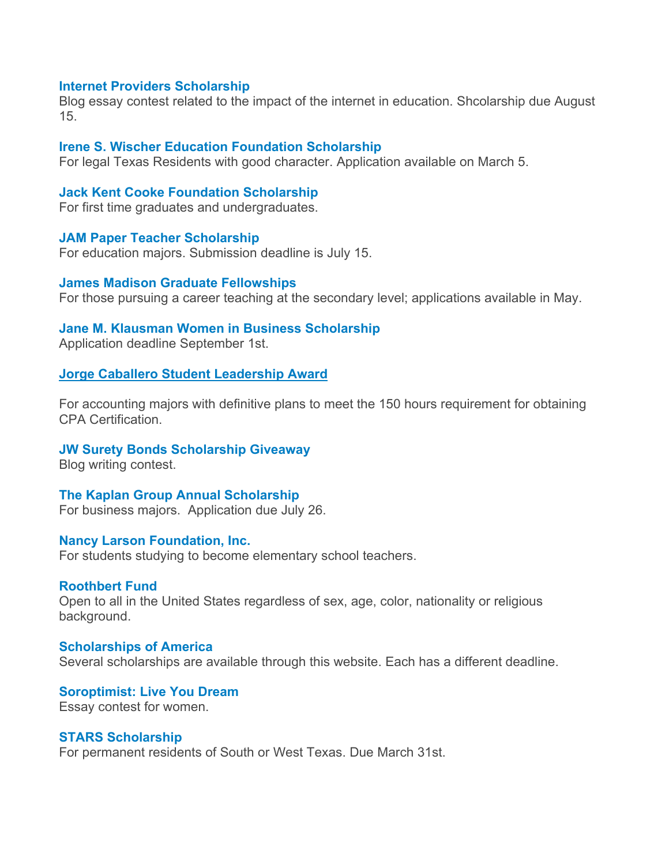#### **[Internet Providers](http://www.internetproviders.com/internet-scholarship.html) Scholarship**

Blog essay contest related to the impact of the internet in education. Shcolarship due August 15.

#### **[Irene S. Wischer Education Foundation Scholarship](http://www.frostbank.com/Pages/wischer-scholarship.aspx)**

For legal Texas Residents with good character. Application available on March 5.

#### **[Jack Kent Cooke Foundation Scholarship](http://www.jkcf.org/scholarship-programs/)**

For first time graduates and undergraduates.

#### **[JAM Paper Teacher Scholarship](http://www.jampaper.com/scholarships.asp)**

For education majors. Submission deadline is July 15.

#### **[James Madison Graduate Fellowships](http://www.jamesmadison.com/)**

For those pursuing a career teaching at the secondary level; applications available in May.

#### **[Jane M. Klausman Women in Business Scholarship](http://www.zonta.org/WhatWeDo/InternationalPrograms/JaneMKlausmanWomenInBusinessScholarship.aspx)**

Application deadline September 1st.

### **[Jorge Caballero Student Leadership Award](http://www.hacu.net/NewsBot.asp?MODE=VIEW&ID=1674)**

For accounting majors with definitive plans to meet the 150 hours requirement for obtaining CPA Certification.

#### **JW [Surety Bonds Scholarship Giveaway](http://www.jwsuretybonds.com/scholarship/)**

Blog writing contest.

### **[The Kaplan Group Annual Scholarship](http://www.kaplancollectionagency.com/scholarship/)**

For business majors. Application due July 26.

### **[Nancy Larson Foundation, Inc.](http://www.nancylarsonfoundation.org/index.php)**

For students studying to become elementary school teachers.

#### **[Roothbert](http://www.roothbertfund.org/scholarships.php#process) Fund**

Open to all in the United States regardless of sex, age, color, nationality or religious background.

**[Scholarships of America](https://scholarshipamerica.org/open_scholarships.php)** Several scholarships are available through this website. Each has a different deadline.

**[Soroptimist: Live You Dream](http://www.soroptimist.org/awards/live-your-dream-awards.html)** Essay contest for women.

#### **[STARS Scholarship](http://www.starsscholarship.org/s/stars/home)**

For permanent residents of South or West Texas. Due March 31st.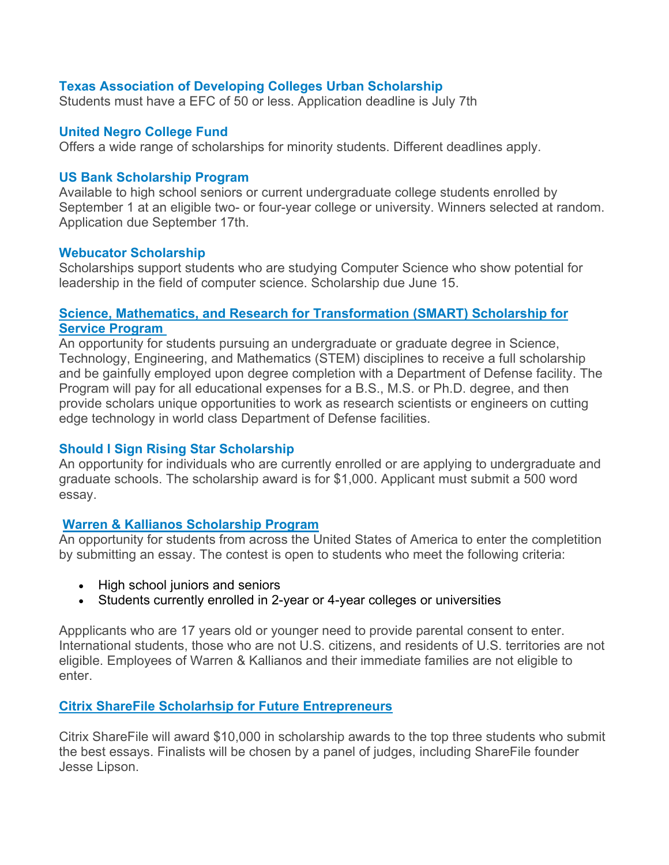### **[Texas Association of Developing Colleges Urban Scholarship](http://www.txadc.org/)**

Students must have a EFC of 50 or less. Application deadline is July 7th

### **[United Negro College Fund](http://scholarships.uncf.org/)**

Offers a wide range of scholarships for minority students. Different deadlines apply.

### **[US Bank Scholarship Program](http://www.usbank.com/community/financial-education/scholarship.html)**

Available to high school seniors or current undergraduate college students enrolled by September 1 at an eligible two- or four-year college or university. Winners selected at random. Application due September 17th.

#### **Webucator [Scholarship](http://www.webucator.com/scholarships/index.cfm)**

Scholarships support students who are studying Computer Science who show potential for leadership in the field of computer science. Scholarship due June 15.

### **[Science, Mathematics, and Research for Transformation \(SMART\) Scholarship for](https://smart.asee.org/)  [Service Program](https://smart.asee.org/)**

An opportunity for students pursuing an undergraduate or graduate degree in Science, Technology, Engineering, and Mathematics (STEM) disciplines to receive a full scholarship and be gainfully employed upon degree completion with a Department of Defense facility. The Program will pay for all educational expenses for a B.S., M.S. or Ph.D. degree, and then provide scholars unique opportunities to work as research scientists or engineers on cutting edge technology in world class Department of Defense facilities.

### **Should I [Sign Rising Star Scholarship](https://www.shouldisign.com/scholarship/)**

An opportunity for individuals who are currently enrolled or are applying to undergraduate and graduate schools. The scholarship award is for \$1,000. Applicant must submit a 500 word essay.

### **[Warren & Kallianos Scholarship Program](http://www.warren-kallianos.com/scholarship/)**

An opportunity for students from across the United States of America to enter the completition by submitting an essay. The contest is open to students who meet the following criteria:

- High school juniors and seniors
- Students currently enrolled in 2-year or 4-year colleges or universities

Appplicants who are 17 years old or younger need to provide parental consent to enter. International students, those who are not U.S. citizens, and residents of U.S. territories are not eligible. Employees of Warren & Kallianos and their immediate families are not eligible to enter.

### **[Citrix ShareFile Scholarhsip for Future Entrepreneurs](https://www.sharefile.com/scholarship)**

Citrix ShareFile will award \$10,000 in scholarship awards to the top three students who submit the best essays. Finalists will be chosen by a panel of judges, including ShareFile founder Jesse Lipson.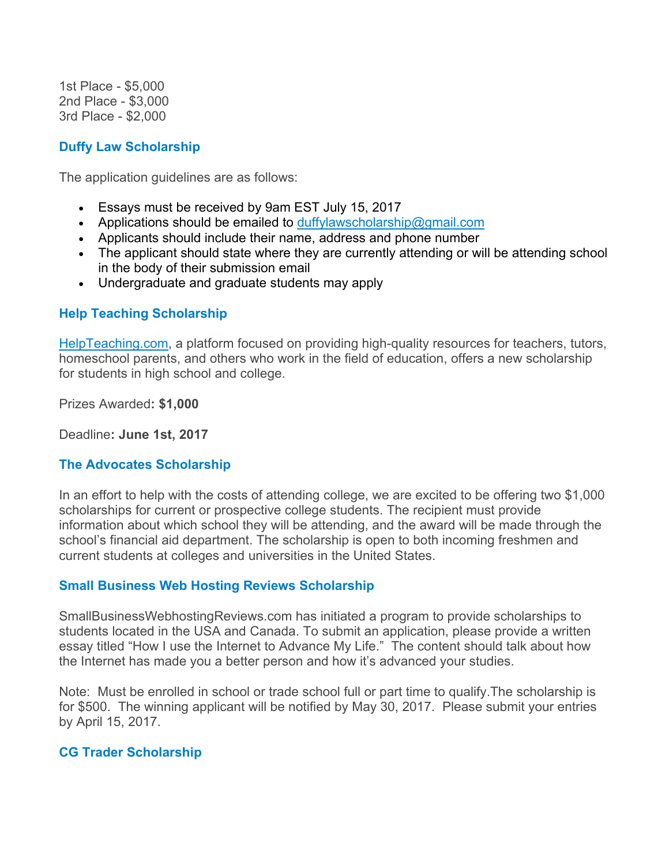1st Place - \$5,000 2nd Place - \$3,000 3rd Place - \$2,000

## **[Duffy Law Scholarship](http://www.duffylawct.com/duffy-law-llc-1000-scholarship/)**

The application guidelines are as follows:

- Essays must be received by 9am EST July 15, 2017
- Applications should be emailed to [duffylawscholarship@gmail.com](mailto:duffylawscholarship@gmail.com)
- Applicants should include their name, address and phone number
- The applicant should state where they are currently attending or will be attending school in the body of their submission email
- Undergraduate and graduate students may apply

## **[Help Teaching Scholarship](http://www.helpteaching.com/resources/scholarship)**

[HelpTeaching.com,](http://www.helpteaching.com/) a platform focused on providing high-quality resources for teachers, tutors, homeschool parents, and others who work in the field of education, offers a new scholarship for students in high school and college.

Prizes Awarded**: \$1,000**

Deadline**: June 1st, 2017**

## **[The Advocates Scholarship](https://www.advocateslaw.com/resources/scholarship/)**

In an effort to help with the costs of attending college, we are excited to be offering two \$1,000 scholarships for current or prospective college students. The recipient must provide information about which school they will be attending, and the award will be made through the school's financial aid department. The scholarship is open to both incoming freshmen and current students at colleges and universities in the United States.

### **[Small Business Web Hosting](http://www.smallbusinesswebhostingreviews.com/scholarship/) Reviews Scholarship**

SmallBusinessWebhostingReviews.com has initiated a program to provide scholarships to students located in the USA and Canada. To submit an application, please provide a written essay titled "How I use the Internet to Advance My Life." The content should talk about how the Internet has made you a better person and how it's advanced your studies.

Note: Must be enrolled in school or trade school full or part time to qualify.The scholarship is for \$500. The winning applicant will be notified by May 30, 2017. Please submit your entries by April 15, 2017.

## **[CG Trader Scholarship](https://www.cgtrader.com/scholarship)**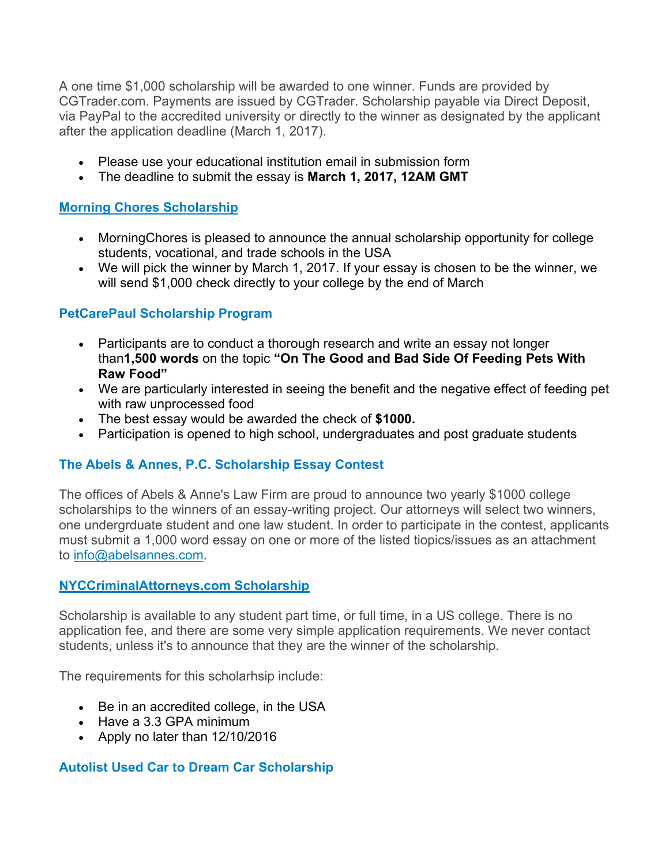A one time \$1,000 scholarship will be awarded to one winner. Funds are provided by CGTrader.com. Payments are issued by CGTrader. Scholarship payable via Direct Deposit, via PayPal to the accredited university or directly to the winner as designated by the applicant after the application deadline (March 1, 2017).

- Please use your educational institution email in submission form
- The deadline to submit the essay is **March 1, 2017, 12AM GMT**

## **[Morning Chores Scholarship](http://morningchores.com/scholarship/)**

- Morning Chores is pleased to announce the annual scholarship opportunity for college students, vocational, and trade schools in the USA
- We will pick the winner by March 1, 2017. If your essay is chosen to be the winner, we will send \$1,000 check directly to your college by the end of March

## **PetCarePaul [Scholarship Program](http://petcarepaul.com/scholarship/)**

- Participants are to conduct a thorough research and write an essay not longer than**1,500 words** on the topic **"On The Good and Bad Side Of Feeding Pets With Raw Food"**
- We are particularly interested in seeing the benefit and the negative effect of feeding pet with raw unprocessed food
- The best essay would be awarded the check of **\$1000.**
- Participation is opened to high school, undergraduates and post graduate students

## **[The Abels & Annes, P.C. Scholarship Essay Contest](https://www.daveabels.com/scholarship)**

The offices of Abels & Anne's Law Firm are proud to announce two yearly \$1000 college scholarships to the winners of an essay-writing project. Our attorneys will select two winners, one undergrduate student and one law student. In order to participate in the contest, applicants must submit a 1,000 word essay on one or more of the listed tiopics/issues as an attachment to [info@abelsannes.com.](mailto:info@abelsannes.com)

### **[NYCCriminalAttorneys.com Scholarship](https://www.nyccriminalattorneys.com/our-scholarship/)**

Scholarship is available to any student part time, or full time, in a US college. There is no application fee, and there are some very simple application requirements. We never contact students, unless it's to announce that they are the winner of the scholarship.

The requirements for this scholarhsip include:

- Be in an accredited college, in the USA
- Have a 3.3 GPA minimum
- Apply no later than 12/10/2016

### **[Autolist Used Car to Dream Car Scholarship](https://www.autolist.com/used-car-to-dream-car-scholarship)**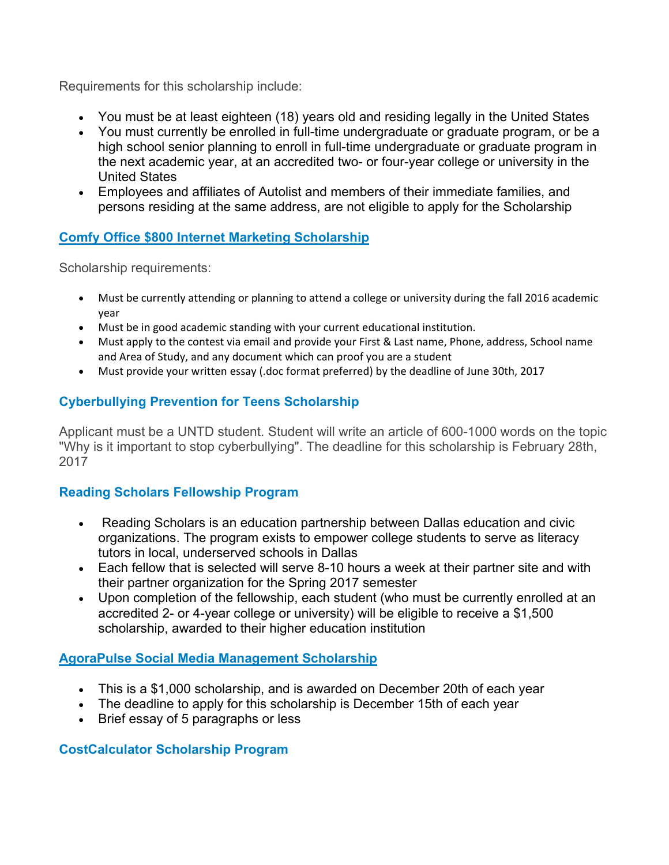Requirements for this scholarship include:

- You must be at least eighteen (18) years old and residing legally in the United States
- You must currently be enrolled in full-time undergraduate or graduate program, or be a high school senior planning to enroll in full-time undergraduate or graduate program in the next academic year, at an accredited two- or four-year college or university in the United States
- Employees and affiliates of Autolist and members of their immediate families, and persons residing at the same address, are not eligible to apply for the Scholarship

## **[Comfy Office \\$800 Internet Marketing Scholarship](http://topratedofficechair.com/scholarship/)**

Scholarship requirements:

- Must be currently attending or planning to attend a college or university during the fall 2016 academic year
- Must be in good academic standing with your current educational institution.
- Must apply to the contest via email and provide your First & Last name, Phone, address, School name and Area of Study, and any document which can proof you are a student
- Must provide your written essay (.doc format preferred) by the deadline of June 30th, 2017

## **[Cyberbullying Prevention for Teens Scholarship](http://www.parentinn.com/scholarship)**

Applicant must be a UNTD student. Student will write an article of 600-1000 words on the topic "Why is it important to stop cyberbullying". The deadline for this scholarship is February 28th, 2017

## **[Reading Scholars Fellowship Program](http://earlymattersdallas.org/fellowship/)**

- Reading Scholars is an education partnership between Dallas education and civic organizations. The program exists to empower college students to serve as literacy tutors in local, underserved schools in Dallas
- Each fellow that is selected will serve 8-10 hours a week at their partner site and with their partner organization for the Spring 2017 semester
- Upon completion of the fellowship, each student (who must be currently enrolled at an accredited 2- or 4-year college or university) will be eligible to receive a \$1,500 scholarship, awarded to their higher education institution

### **AgoraPulse [Social Media Management Scholarship](https://www.agorapulse.com/social-media-management-scholarship)**

- This is a \$1,000 scholarship, and is awarded on December 20th of each year
- The deadline to apply for this scholarship is December 15th of each year
- Brief essay of 5 paragraphs or less

### **[CostCalculator Scholarship Program](http://costculator.com/scholarship/)**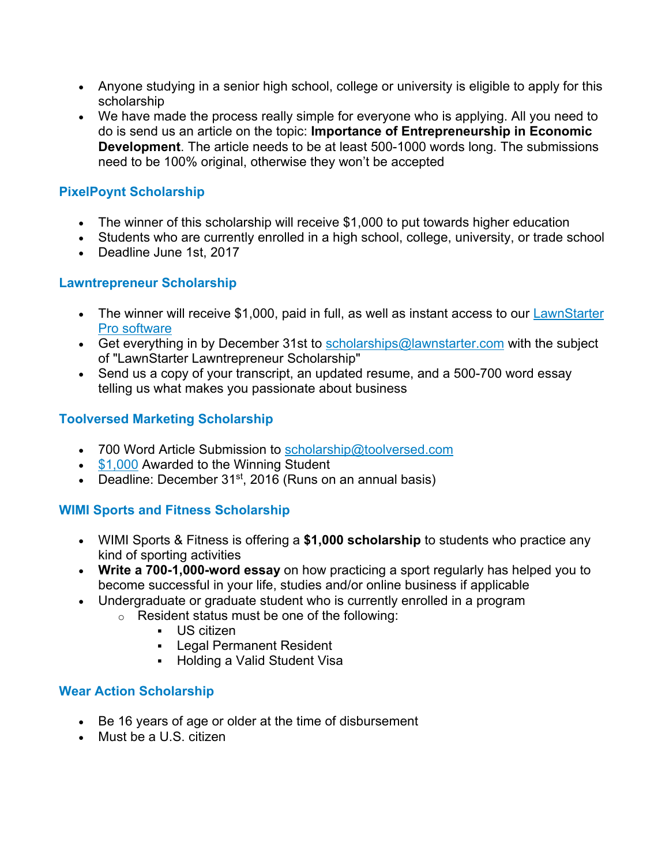- Anyone studying in a senior high school, college or university is eligible to apply for this scholarship
- We have made the process really simple for everyone who is applying. All you need to do is send us an article on the topic: **Importance of Entrepreneurship in Economic Development**. The article needs to be at least 500-1000 words long. The submissions need to be 100% original, otherwise they won't be accepted

# **[PixelPoynt Scholarship](https://www.pixelpoynt.com/scholarship-program/)**

- The winner of this scholarship will receive \$1,000 to put towards higher education
- Students who are currently enrolled in a high school, college, university, or trade school
- Deadline June 1st, 2017

# **[Lawntrepreneur Scholarship](https://www.lawnstarter.com/fort-worth-tx-lawn-care#scholarship)**

- The winner will receive \$1,000, paid in full, as well as instant access to our LawnStarter [Pro software](https://www.lawnstarter.com/lawn-care-software)
- Get everything in by December 31st to  $scholarships@$  awnstarter.com with the subject of "LawnStarter Lawntrepreneur Scholarship"
- Send us a copy of your transcript, an updated resume, and a 500-700 word essay telling us what makes you passionate about business

# **[Toolversed Marketing Scholarship](http://www.toolversed.com/scholarship/)**

- 700 Word Article Submission to [scholarship@toolversed.com](mailto:scholarship@toolversed.com)
- [\\$1,000](mailto:scholarship@toolversed.com) Awarded to the Winning Student
- Deadline: December  $31^{st}$ , 2016 (Runs on an annual basis)

# **[WIMI Sports and Fitness Scholarship](https://wimi-fitness.com/pages/wimi-sports-fitness-scholarship)**

- WIMI Sports & Fitness is offering a **\$1,000 scholarship** to students who practice any kind of sporting activities
- **Write a 700-1,000-word essay** on how practicing a sport regularly has helped you to become successful in your life, studies and/or online business if applicable
- Undergraduate or graduate student who is currently enrolled in a program
	- o Resident status must be one of the following:
		- US citizen
		- **-** Legal Permanent Resident
		- Holding a Valid Student Visa

## **[Wear Action Scholarship](http://wearaction.com/scholarship)**

- Be 16 years of age or older at the time of disbursement
- Must be a U.S. citizen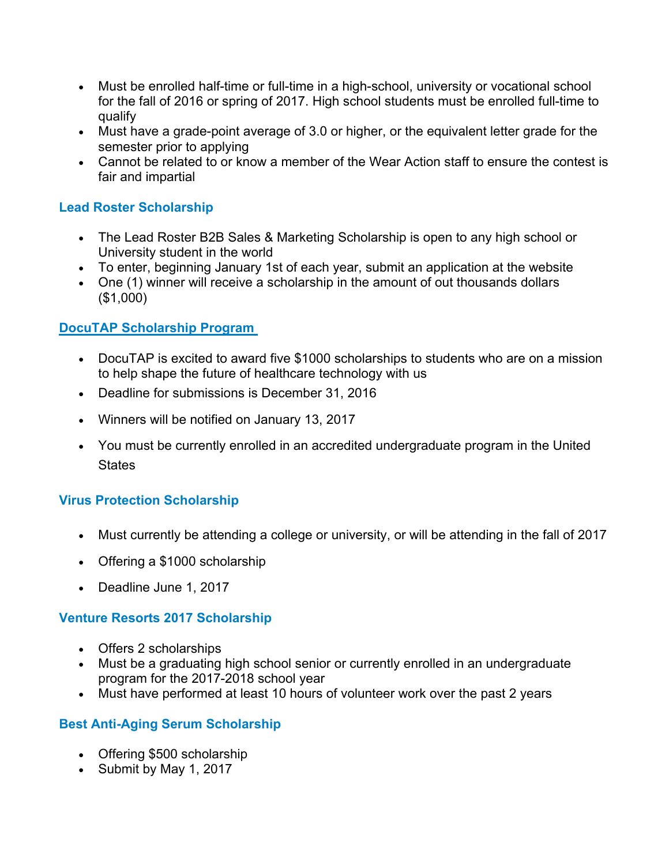- Must be enrolled half-time or full-time in a high-school, university or vocational school for the fall of 2016 or spring of 2017. High school students must be enrolled full-time to qualify
- Must have a grade-point average of 3.0 or higher, or the equivalent letter grade for the semester prior to applying
- Cannot be related to or know a member of the Wear Action staff to ensure the contest is fair and impartial

# **[Lead Roster Scholarship](https://www.leadroster.com/?scholarship)**

- The Lead Roster B2B Sales & Marketing Scholarship is open to any high school or University student in the world
- To enter, beginning January 1st of each year, submit an application at the website
- One (1) winner will receive a scholarship in the amount of out thousands dollars (\$1,000)

# **[DocuTAP Scholarship Program](https://docutap.com/company/docutap-scholarship-program)**

- DocuTAP is excited to award five \$1000 scholarships to students who are on a mission to help shape the future of healthcare technology with us
- Deadline for submissions is December 31, 2016
- Winners will be notified on January 13, 2017
- You must be currently enrolled in an accredited undergraduate program in the United **States**

# **[Virus Protection Scholarship](http://mycomputerworks.com/virus-protection-scholarship-2016/)**

- Must currently be attending a college or university, or will be attending in the fall of 2017
- Offering a \$1000 scholarship
- Deadline June 1, 2017

## **[Venture Resorts 2017 Scholarship](https://www.cabinsofthesmokymountains.com/scholarship.php)**

- Offers 2 scholarships
- Must be a graduating high school senior or currently enrolled in an undergraduate program for the 2017-2018 school year
- Must have performed at least 10 hours of volunteer work over the past 2 years

## **[Best Anti-Aging Serum Scholarship](http://www.bestantiagingserum.com/scholarship)**

- Offering \$500 scholarship
- Submit by May 1, 2017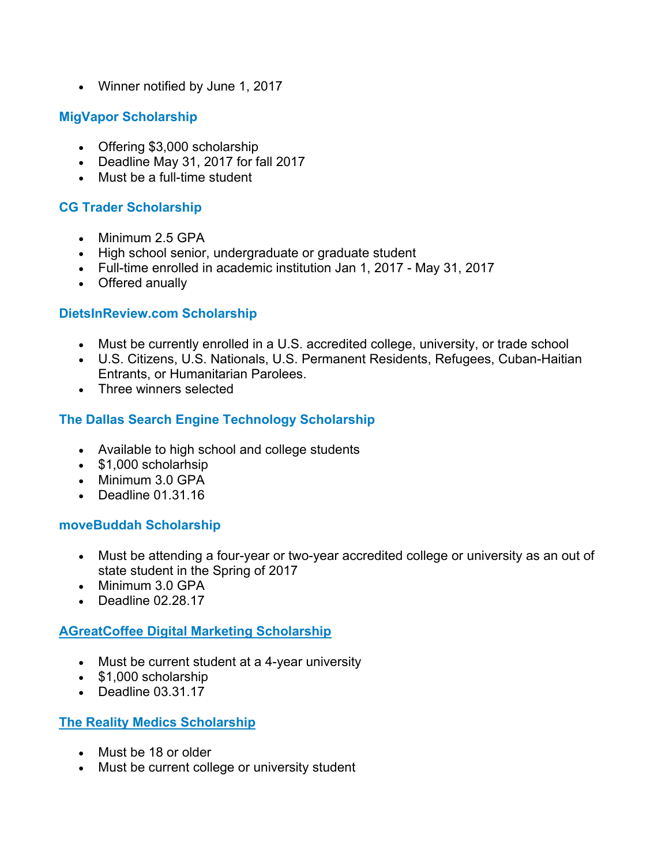• Winner notified by June 1, 2017

# **[MigVapor Scholarship](https://www.migvapor.com/scholarship)**

- Offering \$3,000 scholarship
- Deadline May 31, 2017 for fall 2017
- Must be a full-time student

# **[CG Trader Scholarship](https://www.cgtrader.com/scholarships)**

- Minimum 2.5 GPA
- High school senior, undergraduate or graduate student
- Full-time enrolled in academic institution Jan 1, 2017 May 31, 2017
- Offered anually

## **[DietsInReview.com Scholarship](http://www.dietsinreview.com/scholarship/)**

- Must be currently enrolled in a U.S. accredited college, university, or trade school
- U.S. Citizens, U.S. Nationals, U.S. Permanent Residents, Refugees, Cuban-Haitian Entrants, or Humanitarian Parolees.
- Three winners selected

# **[The Dallas Search Engine Technology Scholarship](http://www.dallasseogeek.com/search-engine-technology-scholarship/#.WFGz6FMrKUk)**

- Available to high school and college students
- \$1,000 scholarhsip
- Minimum 3.0 GPA
- Deadline 01.31.16

## **[moveBuddah Scholarship](https://www.movebuddha.com/scholarship/)**

- Must be attending a four-year or two-year accredited college or university as an out of state student in the Spring of 2017
- Minimum 3.0 GPA
- Deadline 02.28.17

## **[AGreatCoffee Digital Marketing Scholarship](http://agreatcoffee.com/digital-marketing-scholarship/)**

- Must be current student at a 4-year university
- \$1,000 scholarship
- Deadline 03.31.17

## **[The Reality Medics Scholarship](http://www.therealtymedics.com/helpful-resources/scholarships/)**

- Must be 18 or older
- Must be current college or university student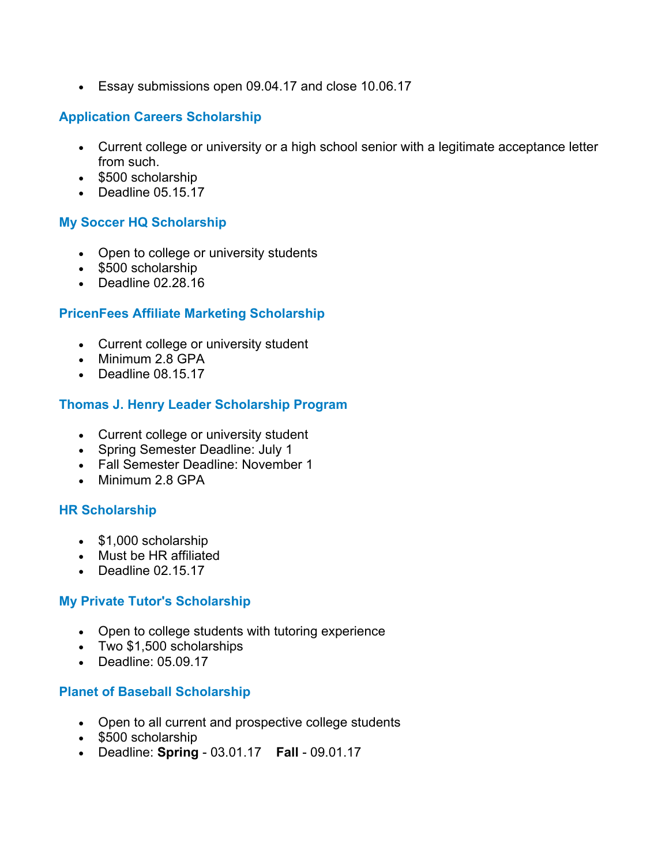• Essay submissions open 09.04.17 and close 10.06.17

# **[Application Careers Scholarship](http://www.application.careers/scholarship)**

- Current college or university or a high school senior with a legitimate acceptance letter from such.
- \$500 scholarship
- Deadline 05.15.17

# **[My Soccer HQ Scholarship](http://mysoccerhq.com/scholarship/)**

- Open to college or university students
- \$500 scholarship
- Deadline 02.28.16

# **[PricenFees Affiliate Marketing Scholarship](https://www.pricenfees.com/scholarship)**

- Current college or university student
- Minimum 2.8 GPA
- Deadline 08.15.17

## **[Thomas J. Henry Leader Scholarship Program](https://thomasjhenrylaw.com/scholarships/)**

- Current college or university student
- Spring Semester Deadline: July 1
- Fall Semester Deadline: November 1
- Minimum 2.8 GPA

## **[HR Scholarship](http://www.hrispayrollsoftware.com/hr-scholarship/)**

- \$1,000 scholarship
- Must be HR affiliated
- Deadline 02.15.17

## **[My Private Tutor's Scholarship](https://www.myprivatetutor.com/scholarship)**

- Open to college students with tutoring experience
- Two \$1,500 scholarships
- Deadline: 05.09.17

### **[Planet of Baseball Scholarship](http://www.theplanetofbaseball.com/scholarship/)**

- Open to all current and prospective college students
- \$500 scholarship
- Deadline: **Spring** 03.01.17 **Fall** 09.01.17